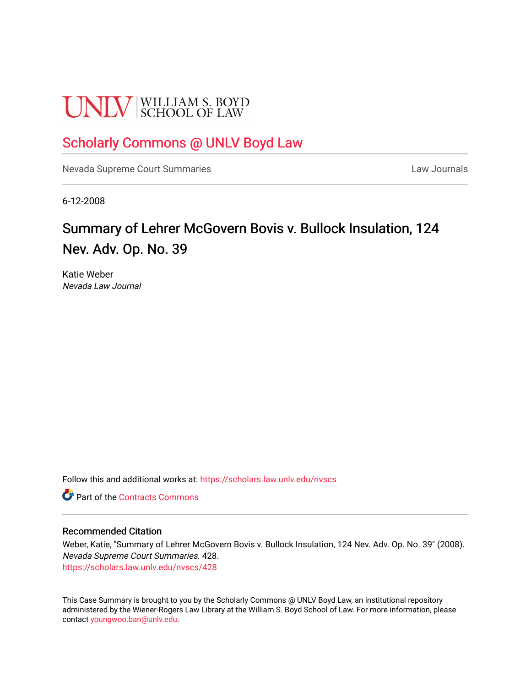# **UNLV** SCHOOL OF LAW

# [Scholarly Commons @ UNLV Boyd Law](https://scholars.law.unlv.edu/)

[Nevada Supreme Court Summaries](https://scholars.law.unlv.edu/nvscs) **Law Journals** Law Journals

6-12-2008

# Summary of Lehrer McGovern Bovis v. Bullock Insulation, 124 Nev. Adv. Op. No. 39

Katie Weber Nevada Law Journal

Follow this and additional works at: [https://scholars.law.unlv.edu/nvscs](https://scholars.law.unlv.edu/nvscs?utm_source=scholars.law.unlv.edu%2Fnvscs%2F428&utm_medium=PDF&utm_campaign=PDFCoverPages)

**C** Part of the [Contracts Commons](http://network.bepress.com/hgg/discipline/591?utm_source=scholars.law.unlv.edu%2Fnvscs%2F428&utm_medium=PDF&utm_campaign=PDFCoverPages)

## Recommended Citation

Weber, Katie, "Summary of Lehrer McGovern Bovis v. Bullock Insulation, 124 Nev. Adv. Op. No. 39" (2008). Nevada Supreme Court Summaries. 428. [https://scholars.law.unlv.edu/nvscs/428](https://scholars.law.unlv.edu/nvscs/428?utm_source=scholars.law.unlv.edu%2Fnvscs%2F428&utm_medium=PDF&utm_campaign=PDFCoverPages)

This Case Summary is brought to you by the Scholarly Commons @ UNLV Boyd Law, an institutional repository administered by the Wiener-Rogers Law Library at the William S. Boyd School of Law. For more information, please contact [youngwoo.ban@unlv.edu](mailto:youngwoo.ban@unlv.edu).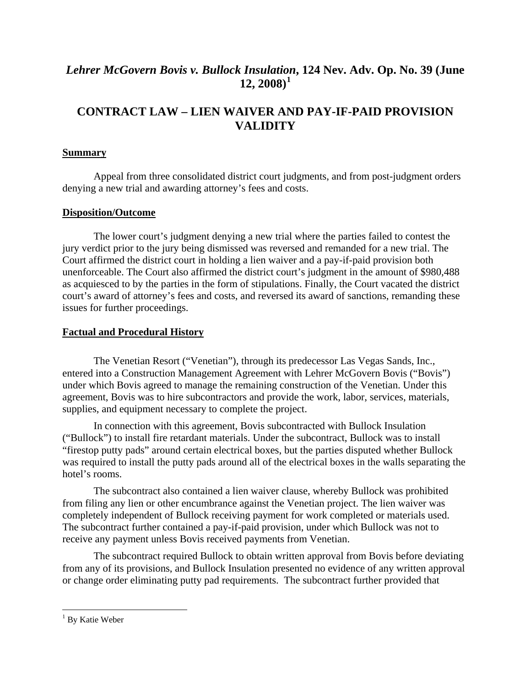# *Lehrer McGovern Bovis v. Bullock Insulatio[n](#page-1-0)***, 124 Nev. Adv. Op. No. 39 (June 12, 2008)[1](#page-1-0)**

# **CONTRACT LAW – LIEN WAIVER AND PAY-IF-PAID PROVISION VALIDITY**

# **Summary**

Appeal from three consolidated district court judgments, and from post-judgment orders denying a new trial and awarding attorney's fees and costs.

# **Disposition/Outcome**

The lower court's judgment denying a new trial where the parties failed to contest the jury verdict prior to the jury being dismissed was reversed and remanded for a new trial. The Court affirmed the district court in holding a lien waiver and a pay-if-paid provision both unenforceable. The Court also affirmed the district court's judgment in the amount of \$980,488 as acquiesced to by the parties in the form of stipulations. Finally, the Court vacated the district court's award of attorney's fees and costs, and reversed its award of sanctions, remanding these issues for further proceedings.

# **Factual and Procedural History**

The Venetian Resort ("Venetian"), through its predecessor Las Vegas Sands, Inc., entered into a Construction Management Agreement with Lehrer McGovern Bovis ("Bovis") under which Bovis agreed to manage the remaining construction of the Venetian. Under this agreement, Bovis was to hire subcontractors and provide the work, labor, services, materials, supplies, and equipment necessary to complete the project.

In connection with this agreement, Bovis subcontracted with Bullock Insulation ("Bullock") to install fire retardant materials. Under the subcontract, Bullock was to install "firestop putty pads" around certain electrical boxes, but the parties disputed whether Bullock was required to install the putty pads around all of the electrical boxes in the walls separating the hotel's rooms.

The subcontract also contained a lien waiver clause, whereby Bullock was prohibited from filing any lien or other encumbrance against the Venetian project. The lien waiver was completely independent of Bullock receiving payment for work completed or materials used. The subcontract further contained a pay-if-paid provision, under which Bullock was not to receive any payment unless Bovis received payments from Venetian.

The subcontract required Bullock to obtain written approval from Bovis before deviating from any of its provisions, and Bullock Insulation presented no evidence of any written approval or change order eliminating putty pad requirements. The subcontract further provided that

<u>.</u>

<span id="page-1-0"></span><sup>&</sup>lt;sup>1</sup> By Katie Weber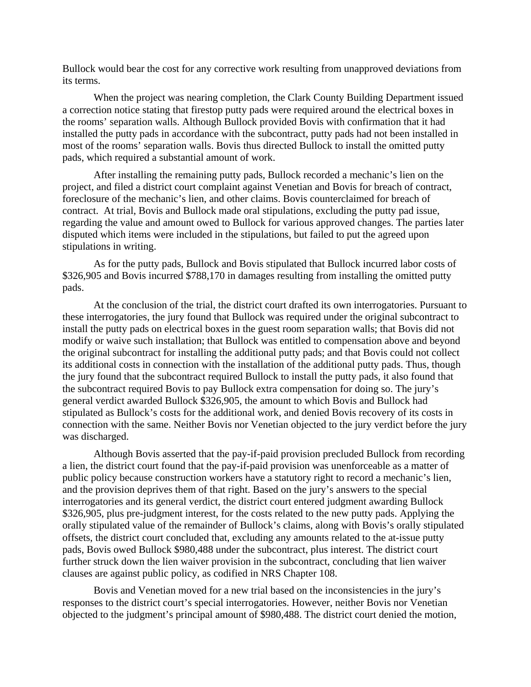Bullock would bear the cost for any corrective work resulting from unapproved deviations from its terms.

When the project was nearing completion, the Clark County Building Department issued a correction notice stating that firestop putty pads were required around the electrical boxes in the rooms' separation walls. Although Bullock provided Bovis with confirmation that it had installed the putty pads in accordance with the subcontract, putty pads had not been installed in most of the rooms' separation walls. Bovis thus directed Bullock to install the omitted putty pads, which required a substantial amount of work.

After installing the remaining putty pads, Bullock recorded a mechanic's lien on the project, and filed a district court complaint against Venetian and Bovis for breach of contract, foreclosure of the mechanic's lien, and other claims. Bovis counterclaimed for breach of contract. At trial, Bovis and Bullock made oral stipulations, excluding the putty pad issue, regarding the value and amount owed to Bullock for various approved changes. The parties later disputed which items were included in the stipulations, but failed to put the agreed upon stipulations in writing.

As for the putty pads, Bullock and Bovis stipulated that Bullock incurred labor costs of \$326,905 and Bovis incurred \$788,170 in damages resulting from installing the omitted putty pads.

At the conclusion of the trial, the district court drafted its own interrogatories. Pursuant to these interrogatories, the jury found that Bullock was required under the original subcontract to install the putty pads on electrical boxes in the guest room separation walls; that Bovis did not modify or waive such installation; that Bullock was entitled to compensation above and beyond the original subcontract for installing the additional putty pads; and that Bovis could not collect its additional costs in connection with the installation of the additional putty pads. Thus, though the jury found that the subcontract required Bullock to install the putty pads, it also found that the subcontract required Bovis to pay Bullock extra compensation for doing so. The jury's general verdict awarded Bullock \$326,905, the amount to which Bovis and Bullock had stipulated as Bullock's costs for the additional work, and denied Bovis recovery of its costs in connection with the same. Neither Bovis nor Venetian objected to the jury verdict before the jury was discharged.

Although Bovis asserted that the pay-if-paid provision precluded Bullock from recording a lien, the district court found that the pay-if-paid provision was unenforceable as a matter of public policy because construction workers have a statutory right to record a mechanic's lien, and the provision deprives them of that right. Based on the jury's answers to the special interrogatories and its general verdict, the district court entered judgment awarding Bullock \$326,905, plus pre-judgment interest, for the costs related to the new putty pads. Applying the orally stipulated value of the remainder of Bullock's claims, along with Bovis's orally stipulated offsets, the district court concluded that, excluding any amounts related to the at-issue putty pads, Bovis owed Bullock \$980,488 under the subcontract, plus interest. The district court further struck down the lien waiver provision in the subcontract, concluding that lien waiver clauses are against public policy, as codified in NRS Chapter 108.

Bovis and Venetian moved for a new trial based on the inconsistencies in the jury's responses to the district court's special interrogatories. However, neither Bovis nor Venetian objected to the judgment's principal amount of \$980,488. The district court denied the motion,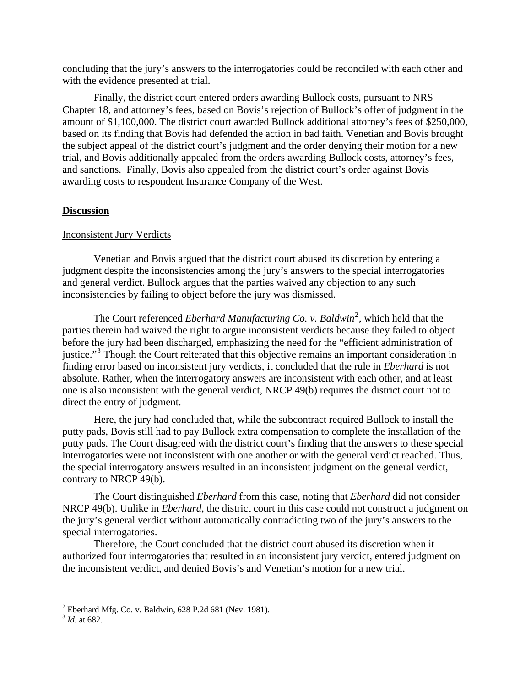concluding that the jury's answers to the interrogatories could be reconciled with each other and with the evidence presented at trial.

Finally, the district court entered orders awarding Bullock costs, pursuant to NRS Chapter 18, and attorney's fees, based on Bovis's rejection of Bullock's offer of judgment in the amount of \$1,100,000. The district court awarded Bullock additional attorney's fees of \$250,000, based on its finding that Bovis had defended the action in bad faith. Venetian and Bovis brought the subject appeal of the district court's judgment and the order denying their motion for a new trial, and Bovis additionally appealed from the orders awarding Bullock costs, attorney's fees, and sanctions. Finally, Bovis also appealed from the district court's order against Bovis awarding costs to respondent Insurance Company of the West.

#### **Discussion**

#### Inconsistent Jury Verdicts

 Venetian and Bovis argued that the district court abused its discretion by entering a judgment despite the inconsistencies among the jury's answers to the special interrogatories and general verdict. Bullock argues that the parties waived any objection to any such inconsistencies by failing to object before the jury was dismissed.

The Court referenced *Eberhard Manufacturing Co. v. Baldwin*<sup>[2](#page-3-0)</sup>, which held that the parties therein had waived the right to argue inconsistent verdicts because they failed to object before the jury had been discharged, emphasizing the need for the "efficient administration of justice."<sup>[3](#page-3-1)</sup> Though the Court reiterated that this objective remains an important consideration in finding error based on inconsistent jury verdicts, it concluded that the rule in *Eberhard* is not absolute. Rather, when the interrogatory answers are inconsistent with each other, and at least one is also inconsistent with the general verdict, NRCP 49(b) requires the district court not to direct the entry of judgment.

Here, the jury had concluded that, while the subcontract required Bullock to install the putty pads, Bovis still had to pay Bullock extra compensation to complete the installation of the putty pads. The Court disagreed with the district court's finding that the answers to these special interrogatories were not inconsistent with one another or with the general verdict reached. Thus, the special interrogatory answers resulted in an inconsistent judgment on the general verdict, contrary to NRCP 49(b).

The Court distinguished *Eberhard* from this case, noting that *Eberhard* did not consider NRCP 49(b). Unlike in *Eberhard*, the district court in this case could not construct a judgment on the jury's general verdict without automatically contradicting two of the jury's answers to the special interrogatories.

Therefore, the Court concluded that the district court abused its discretion when it authorized four interrogatories that resulted in an inconsistent jury verdict, entered judgment on the inconsistent verdict, and denied Bovis's and Venetian's motion for a new trial.

 2 Eberhard Mfg. Co. v. Baldwin, 628 P.2d 681 (Nev. 1981).

<span id="page-3-1"></span><span id="page-3-0"></span><sup>3</sup> *Id.* at 682.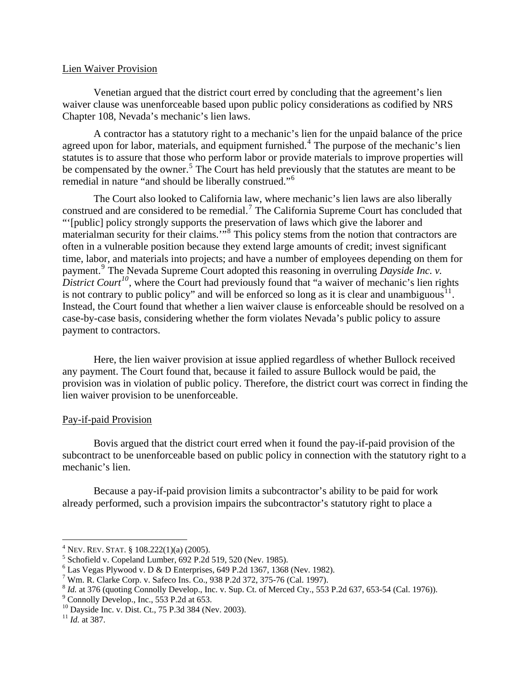#### Lien Waiver Provision

Venetian argued that the district court erred by concluding that the agreement's lien waiver clause was unenforceable based upon public policy considerations as codified by NRS Chapter 108, Nevada's mechanic's lien laws.

A contractor has a statutory right to a mechanic's lien for the unpaid balance of the price agreed upon for labor, materials, and equipment furnished.<sup>[4](#page-4-0)</sup> The purpose of the mechanic's lien statutes is to assure that those who perform labor or provide materials to improve properties will be compensated by the owner.<sup>[5](#page-4-1)</sup> The Court has held previously that the statutes are meant to be remedial in nature "and should be liberally construed."[6](#page-4-2)

The Court also looked to California law, where mechanic's lien laws are also liberally construed and are considered to be remedial.<sup>[7](#page-4-3)</sup> The California Supreme Court has concluded that "'[public] policy strongly supports the preservation of laws which give the laborer and materialman security for their claims."<sup>5[8](#page-4-4)</sup> This policy stems from the notion that contractors are often in a vulnerable position because they extend large amounts of credit; invest significant time, labor, and materials into projects; and have a number of employees depending on them for payment.<sup>[9](#page-4-5)</sup> The Nevada Supreme Court adopted this reasoning in overruling *Dayside Inc. v. District Court<sup>[10](#page-4-6)</sup>*, where the Court had previously found that "a waiver of mechanic's lien rights is not contrary to public policy" and will be enforced so long as it is clear and unambiguous $11$ . [Instead, the Court found that whether a lien waiver clause is enforceable should be resolved on a](#page-4-7)  [case-by-case basis, considering whether the form violates Nevada's public policy to assure](#page-4-7)  [payment to contractors.](#page-4-7) 

Here, the lien waiver provision at issue applied regardless of whether Bullock received any payment. The Court found that, because it failed to assure Bullock would be paid, the provision was in violation of public policy. Therefore, the district court was correct in finding the lien waiver provision to be unenforceable.

## Pay-if-paid Provision

 Bovis argued that the district court erred when it found the pay-if-paid provision of the subcontract to be unenforceable based on public policy in connection with the statutory right to a mechanic's lien.

Because a pay-if-paid provision limits a subcontractor's ability to be paid for work already performed, such a provision impairs the subcontractor's statutory right to place a

1

<sup>&</sup>lt;sup>4</sup> NEV. REV. STAT. § 108.222(1)(a) (2005).

<span id="page-4-1"></span><span id="page-4-0"></span> $5$  Schofield v. Copeland Lumber, 692 P.2d 519, 520 (Nev. 1985).

<span id="page-4-2"></span> $6$  Las Vegas Plywood v. D & D Enterprises, 649 P.2d 1367, 1368 (Nev. 1982).

<span id="page-4-3"></span><sup>&</sup>lt;sup>7</sup> Wm. R. Clarke Corp. v. Safeco Ins. Co., 938 P.2d 372, 375-76 (Cal. 1997).

<span id="page-4-4"></span> $\delta$  *Id.* at 376 (quoting Connolly Develop., Inc. v. Sup. Ct. of Merced Cty., 553 P.2d 637, 653-54 (Cal. 1976)).

<span id="page-4-5"></span> $^9$  Connolly Develop., Inc., 553 P.2d at 653.

<span id="page-4-6"></span><sup>10</sup> Dayside Inc. v. Dist. Ct., 75 P.3d 384 (Nev. 2003).

<span id="page-4-7"></span> $11$  *Id.* at 387.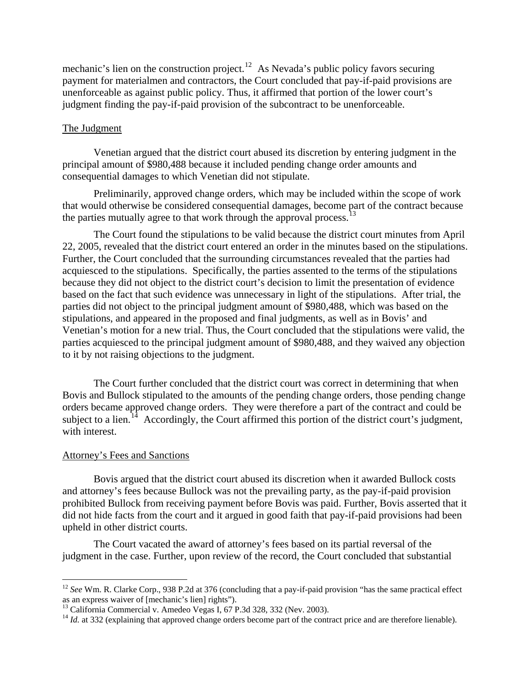mechanic's lien on the construction project.<sup>[12](#page-5-0)</sup> As Nevada's public policy favors securing payment for materialmen and contractors, the Court concluded that pay-if-paid provisions are unenforceable as against public policy. Thus, it affirmed that portion of the lower court's judgment finding the pay-if-paid provision of the subcontract to be unenforceable.

## The Judgment

 Venetian argued that the district court abused its discretion by entering judgment in the principal amount of \$980,488 because it included pending change order amounts and consequential damages to which Venetian did not stipulate.

Preliminarily, approved change orders, which may be included within the scope of work that would otherwise be considered consequential damages, become part of the contract because the parties mutually agree to that work through the approval process.<sup>[13](#page-5-1)</sup>

The Court found the stipulations to be valid because the district court minutes from April 22, 2005, revealed that the district court entered an order in the minutes based on the stipulations. Further, the Court concluded that the surrounding circumstances revealed that the parties had acquiesced to the stipulations. Specifically, the parties assented to the terms of the stipulations because they did not object to the district court's decision to limit the presentation of evidence based on the fact that such evidence was unnecessary in light of the stipulations. After trial, the parties did not object to the principal judgment amount of \$980,488, which was based on the stipulations, and appeared in the proposed and final judgments, as well as in Bovis' and Venetian's motion for a new trial. Thus, the Court concluded that the stipulations were valid, the parties acquiesced to the principal judgment amount of \$980,488, and they waived any objection to it by not raising objections to the judgment.

The Court further concluded that the district court was correct in determining that when Bovis and Bullock stipulated to the amounts of the pending change orders, those pending change orders became approved change orders. They were therefore a part of the contract and could be subject to a lien.<sup>[14](#page-5-2)</sup> Accordingly, the Court affirmed this portion of the district court's judgment, with interest.

## Attorney's Fees and Sanctions

 $\overline{a}$ 

 Bovis argued that the district court abused its discretion when it awarded Bullock costs and attorney's fees because Bullock was not the prevailing party, as the pay-if-paid provision prohibited Bullock from receiving payment before Bovis was paid. Further, Bovis asserted that it did not hide facts from the court and it argued in good faith that pay-if-paid provisions had been upheld in other district courts.

The Court vacated the award of attorney's fees based on its partial reversal of the judgment in the case. Further, upon review of the record, the Court concluded that substantial

<span id="page-5-0"></span><sup>&</sup>lt;sup>12</sup> See Wm. R. Clarke Corp., 938 P.2d at 376 (concluding that a pay-if-paid provision "has the same practical effect as an express waiver of [mechanic's lien] rights").

<span id="page-5-1"></span><sup>&</sup>lt;sup>13</sup> California Commercial v. Amedeo Vegas I, 67 P.3d 328, 332 (Nev. 2003).

<span id="page-5-2"></span><sup>&</sup>lt;sup>14</sup> *Id.* at 332 (explaining that approved change orders become part of the contract price and are therefore lienable).